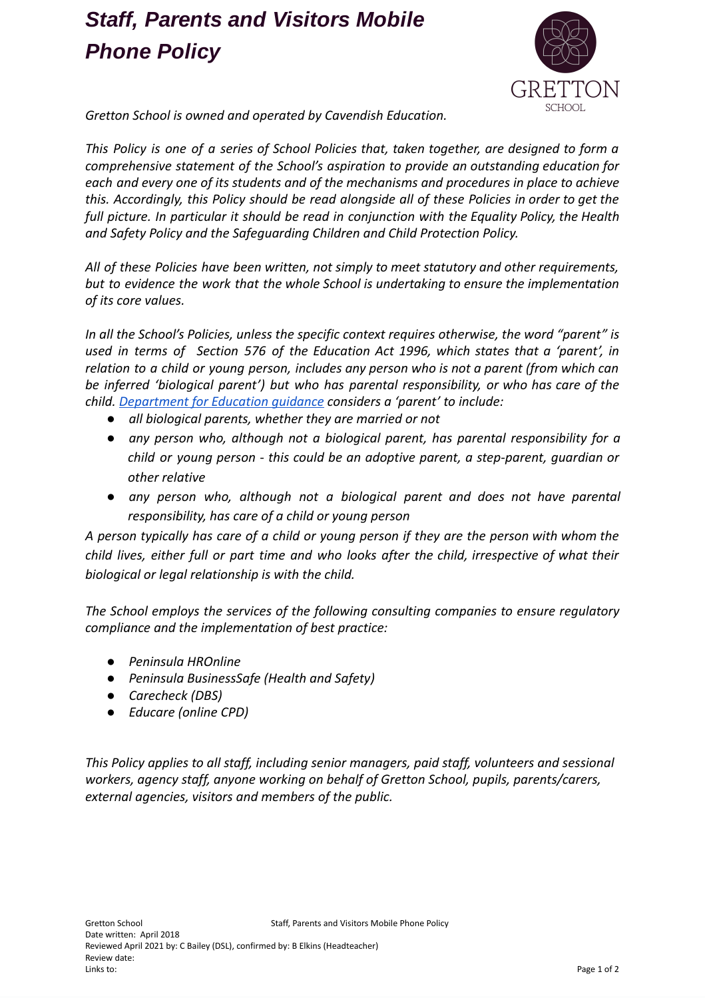### *Staff, Parents and Visitors Mobile Phone Policy*



*Gretton School is owned and operated by Cavendish Education.*

*This Policy is one of a series of School Policies that, taken together, are designed to form a comprehensive statement of the School's aspiration to provide an outstanding education for each and every one of its students and of the mechanisms and procedures in place to achieve this. Accordingly, this Policy should be read alongside all of these Policies in order to get the full picture. In particular it should be read in conjunction with the Equality Policy, the Health and Safety Policy and the Safeguarding Children and Child Protection Policy.*

*All of these Policies have been written, not simply to meet statutory and other requirements, but to evidence the work that the whole School is undertaking to ensure the implementation of its core values.*

*In all the School's Policies, unless the specific context requires otherwise, the word "parent" is used in terms of Section 576 of the Education Act 1996, which states that a 'parent', in relation to a child or young person, includes any person who is not a parent (from which can be inferred 'biological parent') but who has parental responsibility, or who has care of the child. [Department](https://www.gov.uk/government/publications/dealing-with-issues-relating-to-parental-responsibility/understanding-and-dealing-with-issues-relating-to-parental-responsibility) for Education guidance considers a 'parent' to include:*

- *● all biological parents, whether they are married or not*
- *● any person who, although not a biological parent, has parental responsibility for a child or young person - this could be an adoptive parent, a step-parent, guardian or other relative*
- *● any person who, although not a biological parent and does not have parental responsibility, has care of a child or young person*

*A person typically has care of a child or young person if they are the person with whom the child lives, either full or part time and who looks after the child, irrespective of what their biological or legal relationship is with the child.*

*The School employs the services of the following consulting companies to ensure regulatory compliance and the implementation of best practice:*

- *● Peninsula HROnline*
- *● Peninsula BusinessSafe (Health and Safety)*
- *● Carecheck (DBS)*
- *● Educare (online CPD)*

*This Policy applies to all staff, including senior managers, paid staff, volunteers and sessional workers, agency staff, anyone working on behalf of Gretton School, pupils, parents/carers, external agencies, visitors and members of the public.*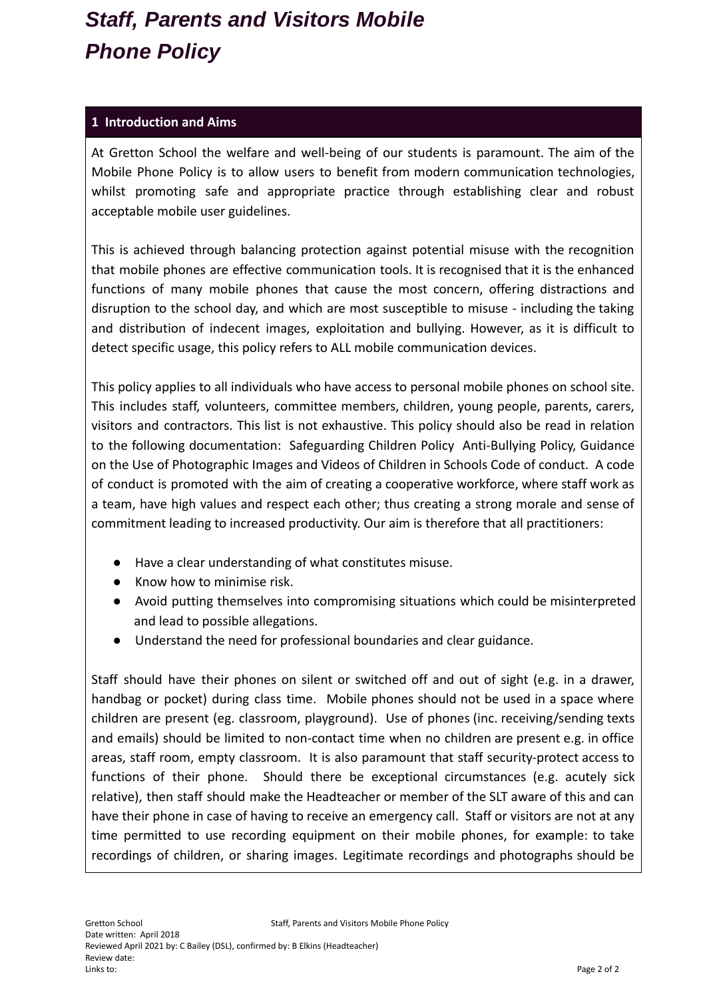# *Staff, Parents and Visitors Mobile Phone Policy*

#### **1 Introduction and Aims**

At Gretton School the welfare and well-being of our students is paramount. The aim of the Mobile Phone Policy is to allow users to benefit from modern communication technologies, whilst promoting safe and appropriate practice through establishing clear and robust acceptable mobile user guidelines.

This is achieved through balancing protection against potential misuse with the recognition that mobile phones are effective communication tools. It is recognised that it is the enhanced functions of many mobile phones that cause the most concern, offering distractions and disruption to the school day, and which are most susceptible to misuse - including the taking and distribution of indecent images, exploitation and bullying. However, as it is difficult to detect specific usage, this policy refers to ALL mobile communication devices.

This policy applies to all individuals who have access to personal mobile phones on school site. This includes staff, volunteers, committee members, children, young people, parents, carers, visitors and contractors. This list is not exhaustive. This policy should also be read in relation to the following documentation: Safeguarding Children Policy Anti-Bullying Policy, Guidance on the Use of Photographic Images and Videos of Children in Schools Code of conduct. A code of conduct is promoted with the aim of creating a cooperative workforce, where staff work as a team, have high values and respect each other; thus creating a strong morale and sense of commitment leading to increased productivity. Our aim is therefore that all practitioners:

- Have a clear understanding of what constitutes misuse.
- Know how to minimise risk.
- Avoid putting themselves into compromising situations which could be misinterpreted and lead to possible allegations.
- Understand the need for professional boundaries and clear guidance.

Staff should have their phones on silent or switched off and out of sight (e.g. in a drawer, handbag or pocket) during class time. Mobile phones should not be used in a space where children are present (eg. classroom, playground). Use of phones (inc. receiving/sending texts and emails) should be limited to non-contact time when no children are present e.g. in office areas, staff room, empty classroom. It is also paramount that staff security-protect access to functions of their phone. Should there be exceptional circumstances (e.g. acutely sick relative), then staff should make the Headteacher or member of the SLT aware of this and can have their phone in case of having to receive an emergency call. Staff or visitors are not at any time permitted to use recording equipment on their mobile phones, for example: to take recordings of children, or sharing images. Legitimate recordings and photographs should be